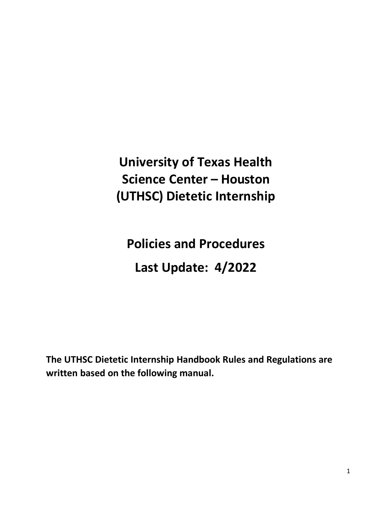**University of Texas Health Science Center – Houston (UTHSC) Dietetic Internship**

**Policies and Procedures Last Update: 4/2022**

**The UTHSC Dietetic Internship Handbook Rules and Regulations are written based on the following manual.**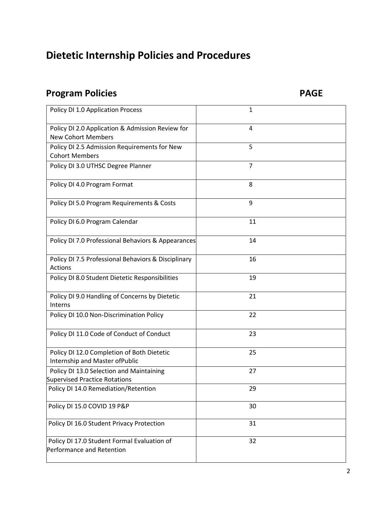# **Program Policies PAGE**

| Policy DI 1.0 Application Process                                                | 1              |
|----------------------------------------------------------------------------------|----------------|
| Policy DI 2.0 Application & Admission Review for<br><b>New Cohort Members</b>    | $\overline{4}$ |
| Policy DI 2.5 Admission Requirements for New<br><b>Cohort Members</b>            | 5              |
| Policy DI 3.0 UTHSC Degree Planner                                               | $\overline{7}$ |
| Policy DI 4.0 Program Format                                                     | 8              |
| Policy DI 5.0 Program Requirements & Costs                                       | 9              |
| Policy DI 6.0 Program Calendar                                                   | 11             |
| Policy DI 7.0 Professional Behaviors & Appearances                               | 14             |
| Policy DI 7.5 Professional Behaviors & Disciplinary<br>Actions                   | 16             |
| Policy DI 8.0 Student Dietetic Responsibilities                                  | 19             |
| Policy DI 9.0 Handling of Concerns by Dietetic<br>Interns                        | 21             |
| Policy DI 10.0 Non-Discrimination Policy                                         | 22             |
| Policy DI 11.0 Code of Conduct of Conduct                                        | 23             |
| Policy DI 12.0 Completion of Both Dietetic<br>Internship and Master of Public    | 25             |
| Policy DI 13.0 Selection and Maintaining<br><b>Supervised Practice Rotations</b> | 27             |
| Policy DI 14.0 Remediation/Retention                                             | 29             |
| Policy DI 15.0 COVID 19 P&P                                                      | 30             |
| Policy DI 16.0 Student Privacy Protection                                        | 31             |
| Policy DI 17.0 Student Formal Evaluation of<br>Performance and Retention         | 32             |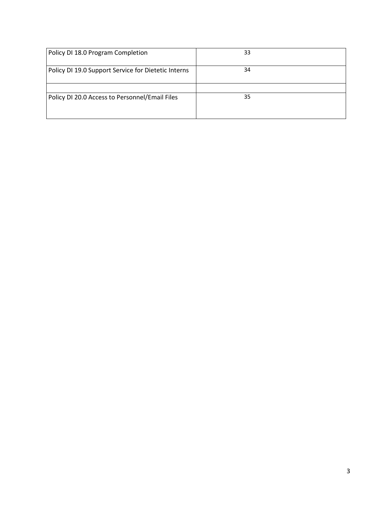| Policy DI 18.0 Program Completion                   | 33 |
|-----------------------------------------------------|----|
| Policy DI 19.0 Support Service for Dietetic Interns | 34 |
|                                                     |    |
| Policy DI 20.0 Access to Personnel/Email Files      | 35 |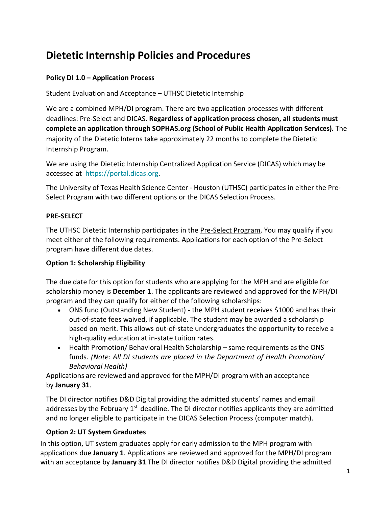### **Policy DI 1.0 – Application Process**

Student Evaluation and Acceptance – UTHSC Dietetic Internship

We are a combined MPH/DI program. There are two application processes with different deadlines: Pre-Select and DICAS. **Regardless of application process chosen, all students must complete an application through SOPHAS.org (School of Public Health Application Services).** The majority of the Dietetic Interns take approximately 22 months to complete the Dietetic Internship Program.

We are using the Dietetic Internship Centralized Application Service (DICAS) which may be accessed at [https://portal.dicas.org](https://portal.dicas.org/)[.](https://portal.dicas.org/)

The University of Texas Health Science Center - Houston (UTHSC) participates in either the Pre-Select Program with two different options or the DICAS Selection Process.

#### **PRE-SELECT**

The UTHSC Dietetic Internship participates in the Pre-Select Program. You may qualify if you meet either of the following requirements. Applications for each option of the Pre-Select program have different due dates.

#### **Option 1: Scholarship Eligibility**

The due date for this option for students who are applying for the MPH and are eligible for scholarship money is **December 1**. The applicants are reviewed and approved for the MPH/DI program and they can qualify for either of the following scholarships:

- ONS fund (Outstanding New Student) the MPH student receives \$1000 and has their out-of-state fees waived, if applicable. The student may be awarded a scholarship based on merit. This allows out-of-state undergraduates the opportunity to receive a high-quality education at in-state tuition rates.
- Health Promotion/ Behavioral Health Scholarship same requirements as the ONS funds. *(Note: All DI students are placed in the Department of Health Promotion/ Behavioral Health)*

Applications are reviewed and approved for the MPH/DI program with an acceptance by **January 31**.

The DI director notifies D&D Digital providing the admitted students' names and email addresses by the February 1<sup>st</sup> deadline. The DI director notifies applicants they are admitted and no longer eligible to participate in the DICAS Selection Process (computer match).

#### **Option 2: UT System Graduates**

In this option, UT system graduates apply for early admission to the MPH program with applications due **January 1**. Applications are reviewed and approved for the MPH/DI program with an acceptance by **January 31**.The DI director notifies D&D Digital providing the admitted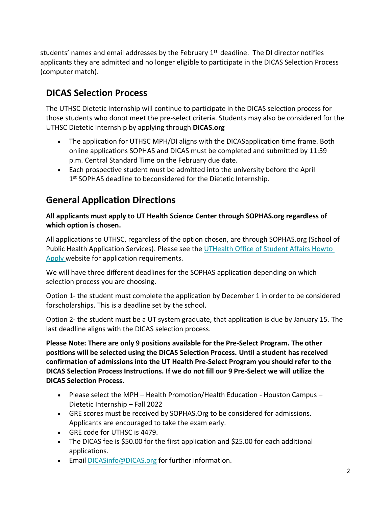students' names and email addresses by the February 1<sup>st</sup> deadline. The DI director notifies applicants they are admitted and no longer eligible to participate in the DICAS Selection Process (computer match).

### **DICAS Selection Process**

The UTHSC Dietetic Internship will continue to participate in the DICAS selection process for those students who donot meet the pre-select criteria. Students may also be considered for the UTHSC Dietetic Internship by applying through **DICAS.org**

- The application for UTHSC MPH/DI aligns with the DICASapplication time frame. Both online applications SOPHAS and DICAS must be completed and submitted by 11:59 p.m. Central Standard Time on the February due date.
- Each prospective student must be admitted into the university before the April 1<sup>st</sup> SOPHAS deadline to beconsidered for the Dietetic Internship.

### **General Application Directions**

**All applicants must apply to UT Health Science Center through SOPHAS.org regardless of which option is chosen.**

All applications to UTHSC, regardless of the option chosen, are through SOPHAS.org (School of Public Health Application Services). Please see th[e UTHealth Office of Student Affairs Howto](https://sph.uth.edu/enroll/admissions/index.htm#TID-cee6dbe4-0840-4bb2-8282-d8fbe4fdb93a-3) [Apply](https://sph.uth.edu/enroll/admissions/index.htm#TID-cee6dbe4-0840-4bb2-8282-d8fbe4fdb93a-3) website for application requirements.

We will have three different deadlines for the SOPHAS application depending on which selection process you are choosing.

Option 1- the student must complete the application by December 1 in order to be considered forscholarships. This is a deadline set by the school.

Option 2- the student must be a UT system graduate, that application is due by January 15. The last deadline aligns with the DICAS selection process.

**Please Note: There are only 9 positions available for the Pre-Select Program. The other positions will be selected using the DICAS Selection Process. Until a student has received confirmation of admissions into the UT Health Pre-Select Program you should refer to the DICAS Selection Process Instructions. If we do not fill our 9 Pre-Select we will utilize the DICAS Selection Process.**

- Please select the MPH Health Promotion/Health Education Houston Campus Dietetic Internship – Fall 2022
- GRE scores must be received by SOPHAS.Org to be considered for admissions. Applicants are encouraged to take the exam early.
- GRE code for UTHSC is 4479.
- The DICAS fee is \$50.00 for the first application and \$25.00 for each additional applications.
- Email [DICASinfo@DICAS.org](mailto:DICASinfor@DICAS.org) for further information.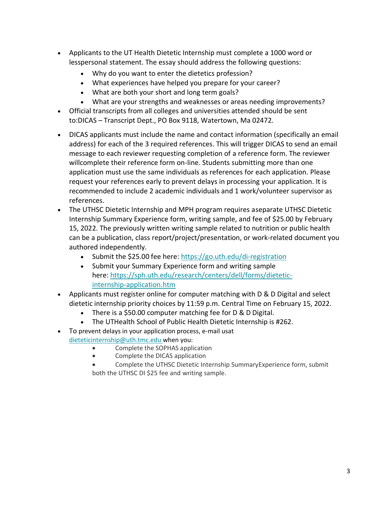- Applicants to the UT Health Dietetic Internship must complete a 1000 word or lesspersonal statement. The essay should address the following questions:
	- Why do you want to enter the dietetics profession?
	- What experiences have helped you prepare for your career?
	- What are both your short and long term goals?
	- What are your strengths and weaknesses or areas needing improvements?
- Official transcripts from all colleges and universities attended should be sent to:DICAS – Transcript Dept., PO Box 9118, Watertown, Ma 02472.
- DICAS applicants must include the name and contact information (specifically an email address) for each of the 3 required references. This will trigger DICAS to send an email message to each reviewer requesting completion of a reference form. The reviewer willcomplete their reference form on-line. Students submitting more than one application must use the same individuals as references for each application. Please request your references early to prevent delays in processing your application. It is recommended to include 2 academic individuals and 1 work/volunteer supervisor as references.
- The UTHSC Dietetic Internship and MPH program requires aseparate UTHSC Dietetic Internship Summary Experience form, writing sample, and fee of \$25.00 by February 15, 2022. The previously written writing sample related to nutrition or public health can be a publication, class report/project/presentation, or work-related document you authored independently.
	- Submit the \$25.00 fee here: <https://go.uth.edu/di-registration>
	- Submit your Summary Experience form and writing sample here: [https://sph.uth.edu/research/centers/dell/forms/dietetic](https://sph.uth.edu/research/centers/dell/forms/dietetic-internship-application.htm)[internship-application.htm](https://sph.uth.edu/research/centers/dell/forms/dietetic-internship-application.htm)
- Applicants must register online for computer matching with D & D Digital and select dietetic internship priority choices by 11:59 p.m. Central Time on February 15, 2022.
	- There is a \$50.00 computer matching fee for D & D Digital.
	- The UTHealth School of Public Health Dietetic Internship is #262.
- To prevent delays in your application process, e-mail usat [dieteticinternship@uth.tmc.edu](mailto:dieteticinternship@uth.tmc.edu) when you:
	- Complete the SOPHAS application
	- Complete the DICAS application
	- Complete the UTHSC Dietetic Internship SummaryExperience form, submit both the UTHSC DI \$25 fee and writing sample.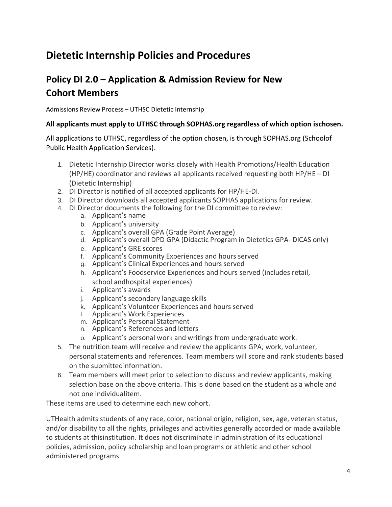### **Policy DI 2.0 – Application & Admission Review for New Cohort Members**

Admissions Review Process – UTHSC Dietetic Internship

#### **All applicants must apply to UTHSC through SOPHAS.org regardless of which option ischosen.**

All applications to UTHSC, regardless of the option chosen, is through SOPHAS.org (Schoolof Public Health Application Services).

- 1. Dietetic Internship Director works closely with Health Promotions/Health Education (HP/HE) coordinator and reviews all applicants received requesting both HP/HE – DI (Dietetic Internship)
- 2. DI Director is notified of all accepted applicants for HP/HE-DI.
- 3. DI Director downloads all accepted applicants SOPHAS applications for review.
- 4. DI Director documents the following for the DI committee to review:
	- a. Applicant's name
	- b. Applicant's university
	- c. Applicant's overall GPA (Grade Point Average)
	- d. Applicant's overall DPD GPA (Didactic Program in Dietetics GPA- DICAS only)
	- e. Applicant's GRE scores
	- f. Applicant's Community Experiences and hours served
	- g. Applicant's Clinical Experiences and hours served
	- h. Applicant's Foodservice Experiences and hours served (includes retail,
	- school andhospital experiences)
	- i. Applicant's awards
	- j. Applicant's secondary language skills
	- k. Applicant's Volunteer Experiences and hours served
	- l. Applicant's Work Experiences
	- m. Applicant's Personal Statement
	- n. Applicant's References and letters
	- o. Applicant's personal work and writings from undergraduate work.
- 5. The nutrition team will receive and review the applicants GPA, work, volunteer, personal statements and references. Team members will score and rank students based on the submittedinformation.
- 6. Team members will meet prior to selection to discuss and review applicants, making selection base on the above criteria. This is done based on the student as a whole and not one individualitem.

These items are used to determine each new cohort.

UTHealth admits students of any race, color, national origin, religion, sex, age, veteran status, and/or disability to all the rights, privileges and activities generally accorded or made available to students at thisinstitution. It does not discriminate in administration of its educational policies, admission, policy scholarship and loan programs or athletic and other school administered programs.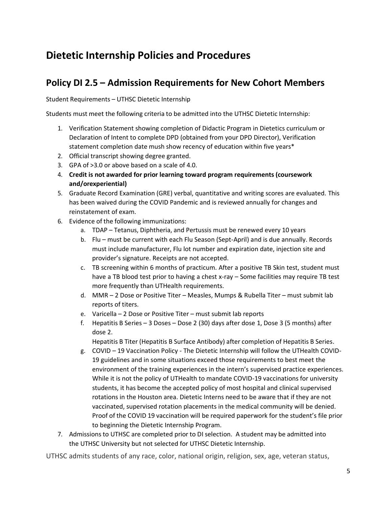### **Policy DI 2.5 – Admission Requirements for New Cohort Members**

Student Requirements – UTHSC Dietetic Internship

Students must meet the following criteria to be admitted into the UTHSC Dietetic Internship:

- 1. Verification Statement showing completion of Didactic Program in Dietetics curriculum or Declaration of Intent to complete DPD (obtained from your DPD Director), Verification statement completion date mush show recency of education within five years\*
- 2. Official transcript showing degree granted.
- 3. GPA of >3.0 or above based on a scale of 4.0.
- 4. **Credit is not awarded for prior learning toward program requirements (coursework and/orexperiential)**
- 5. Graduate Record Examination (GRE) verbal, quantitative and writing scores are evaluated. This has been waived during the COVID Pandemic and is reviewed annually for changes and reinstatement of exam.
- 6. Evidence of the following immunizations:
	- a. TDAP Tetanus, Diphtheria, and Pertussis must be renewed every 10 years
	- b. Flu must be current with each Flu Season (Sept-April) and is due annually. Records must include manufacturer, Flu lot number and expiration date, injection site and provider's signature. Receipts are not accepted.
	- c. TB screening within 6 months of practicum. After a positive TB Skin test, student must have a TB blood test prior to having a chest x-ray - Some facilities may require TB test more frequently than UTHealth requirements.
	- d. MMR 2 Dose or Positive Titer Measles, Mumps & Rubella Titer must submit lab reports of titers.
	- e. Varicella 2 Dose or Positive Titer must submit lab reports
	- f. Hepatitis B Series 3 Doses Dose 2 (30) days after dose 1, Dose 3 (5 months) after dose 2.

Hepatitis B Titer (Hepatitis B Surface Antibody) after completion of Hepatitis B Series.

- g. COVID 19 Vaccination Policy The Dietetic Internship will follow the UTHealth COVID-19 guidelines and in some situations exceed those requirements to best meet the environment of the training experiences in the intern's supervised practice experiences. While it is not the policy of UTHealth to mandate COVID-19 vaccinations for university students, it has become the accepted policy of most hospital and clinical supervised rotations in the Houston area. Dietetic Interns need to be aware that if they are not vaccinated, supervised rotation placements in the medical community will be denied. Proof of the COVID 19 vaccination will be required paperwork for the student's file prior to beginning the Dietetic Internship Program.
- 7. Admissions to UTHSC are completed prior to DI selection. A student may be admitted into the UTHSC University but not selected for UTHSC Dietetic Internship.

UTHSC admits students of any race, color, national origin, religion, sex, age, veteran status,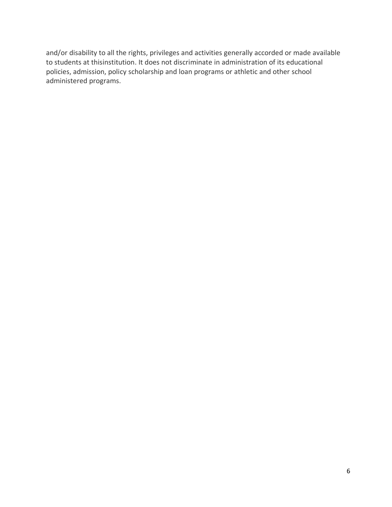and/or disability to all the rights, privileges and activities generally accorded or made available to students at thisinstitution. It does not discriminate in administration of its educational policies, admission, policy scholarship and loan programs or athletic and other school administered programs.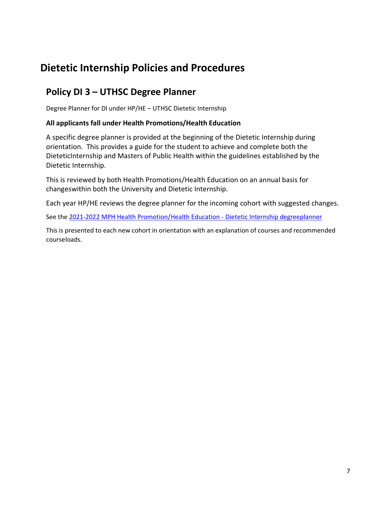### **Policy DI 3 – UTHSC Degree Planner**

Degree Planner for DI under HP/HE – UTHSC Dietetic Internship

#### **All applicants fall under Health Promotions/Health Education**

A specific degree planner is provided at the beginning of the Dietetic Internship during orientation. This provides a guide for the student to achieve and complete both the DieteticInternship and Masters of Public Health within the guidelines established by the Dietetic Internship.

This is reviewed by both Health Promotions/Health Education on an annual basis for changeswithin both the University and Dietetic Internship.

Each year HP/HE reviews the degree planner for the incoming cohort with suggested changes.

See the [2021-2022 MPH Health Promotion/Health Education -](https://web.sph.uth.edu/student-forms/Academic_Requirements/Degree%20Programs%20%26%20Planners/Planner.MPH.HPHE_DI.2021-2022.docx) Dietetic Internship degre[eplanner](https://web.sph.uth.edu/student-forms/Academic_Requirements/Degree%20Programs%20%26%20Planners/Planner.MPH.HPHE_DI.2021-2022.docx)

This is presented to each new cohort in orientation with an explanation of courses and recommended courseloads.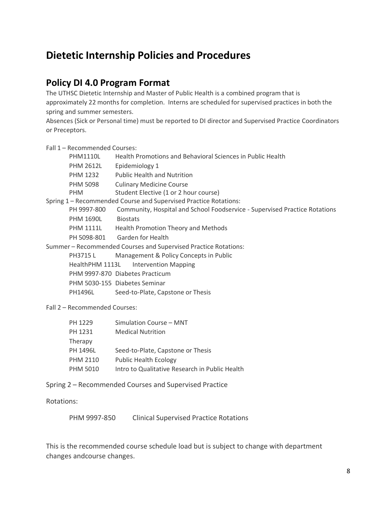### **Policy DI 4.0 Program Format**

The UTHSC Dietetic Internship and Master of Public Health is a combined program that is approximately 22 months for completion. Interns are scheduled for supervised practices in both the spring and summer semesters.

Absences (Sick or Personal time) must be reported to DI director and Supervised Practice Coordinators or Preceptors.

Fall 1 – Recommended Courses:

| <b>PHM1110L</b>               | Health Promotions and Behavioral Sciences in Public Health                 |
|-------------------------------|----------------------------------------------------------------------------|
| <b>PHM 2612L</b>              | Epidemiology 1                                                             |
| PHM 1232                      | <b>Public Health and Nutrition</b>                                         |
| <b>PHM 5098</b>               | <b>Culinary Medicine Course</b>                                            |
| <b>PHM</b>                    | Student Elective (1 or 2 hour course)                                      |
|                               | Spring 1 - Recommended Course and Supervised Practice Rotations:           |
| PH 9997-800                   | Community, Hospital and School Foodservice - Supervised Practice Rotations |
| <b>PHM 1690L</b>              | <b>Biostats</b>                                                            |
| <b>PHM 1111L</b>              | Health Promotion Theory and Methods                                        |
| PH 5098-801                   | <b>Garden for Health</b>                                                   |
|                               | Summer - Recommended Courses and Supervised Practice Rotations:            |
| PH3715L                       | Management & Policy Concepts in Public                                     |
| HealthPHM 1113L               | <b>Intervention Mapping</b>                                                |
|                               | PHM 9997-870 Diabetes Practicum                                            |
|                               | PHM 5030-155 Diabetes Seminar                                              |
| PH1496L                       | Seed-to-Plate, Capstone or Thesis                                          |
| Fall 2 - Recommended Courses: |                                                                            |
| PH 1229                       | Simulation Course - MNT                                                    |
| PH 1231                       | Medical Nutrition                                                          |

| PH 1231         | <b>Medical Nutrition</b>                       |
|-----------------|------------------------------------------------|
| Therapy         |                                                |
| PH 1496L        | Seed-to-Plate, Capstone or Thesis              |
| <b>PHM 2110</b> | <b>Public Health Ecology</b>                   |
| <b>PHM 5010</b> | Intro to Qualitative Research in Public Health |

Spring 2 – Recommended Courses and Supervised Practice

Rotations:

PHM 9997-850 Clinical Supervised Practice Rotations

This is the recommended course schedule load but is subject to change with department changes andcourse changes.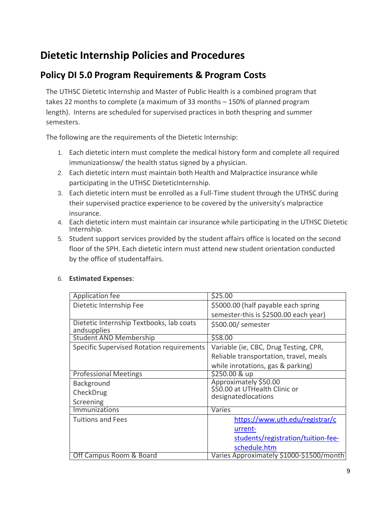### **Policy DI 5.0 Program Requirements & Program Costs**

The UTHSC Dietetic Internship and Master of Public Health is a combined program that takes 22 months to complete (a maximum of 33 months – 150% of planned program length). Interns are scheduled for supervised practices in both thespring and summer semesters.

The following are the requirements of the Dietetic Internship:

- 1. Each dietetic intern must complete the medical history form and complete all required immunizationsw/ the health status signed by a physician.
- 2. Each dietetic intern must maintain both Health and Malpractice insurance while participating in the UTHSC DieteticInternship.
- 3. Each dietetic intern must be enrolled as a Full-Time student through the UTHSC during their supervised practice experience to be covered by the university's malpractice insurance.
- 4. Each dietetic intern must maintain car insurance while participating in the UTHSC Dietetic Internship.
- 5. Student support services provided by the student affairs office is located on the second floor of the SPH. Each dietetic intern must attend new student orientation conducted by the office of studentaffairs.

| Application fee                                         | \$25.00                                              |
|---------------------------------------------------------|------------------------------------------------------|
| Dietetic Internship Fee                                 | \$5000.00 (half payable each spring                  |
|                                                         | semester-this is \$2500.00 each year)                |
| Dietetic Internship Textbooks, lab coats<br>andsupplies | \$500.00/ semester                                   |
| <b>Student AND Membership</b>                           | \$58.00                                              |
| Specific Supervised Rotation requirements               | Variable (ie, CBC, Drug Testing, CPR,                |
|                                                         | Reliable transportation, travel, meals               |
|                                                         | while inrotations, gas & parking)                    |
| <b>Professional Meetings</b>                            | \$250.00 & up                                        |
| <b>Background</b>                                       | Approximately \$50.00                                |
| CheckDrug                                               | \$50.00 at UTHealth Clinic or<br>designatedlocations |
| Screening                                               |                                                      |
| <b>Immunizations</b>                                    | Varies                                               |
| <b>Tuitions and Fees</b>                                | https://www.uth.edu/registrar/c                      |
|                                                         | urrent-                                              |
|                                                         | students/registration/tuition-fee-                   |
|                                                         | schedule.htm                                         |
| Off Campus Room & Board                                 | Varies Approximately \$1000-\$1500/month             |

#### 6. **Estimated Expenses**: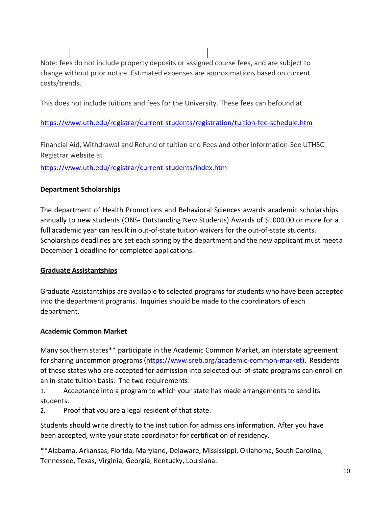Note: fees do not include property deposits or assigned course fees, and are subject to change without prior notice. Estimated expenses are approximations based on current costs/trends.

This does not include tuitions and fees for the University. These fees can befound at

<https://www.uth.edu/registrar/current-students/registration/tuition-fee-schedule.htm>

Financial Aid, Withdrawal and Refund of tuition and Fees and other information-See UTHSC Registrar website at

<https://www.uth.edu/registrar/current-students/index.htm>

### **Department Scholarships**

The department of Health Promotions and Behavioral Sciences awards academic scholarships annually to new students (ONS- Outstanding New Students) Awards of \$1000.00 or more for a full academic year can result in out-of-state tuition waivers for the out-of-state students. Scholarships deadlines are set each spring by the department and the new applicant must meeta December 1 deadline for completed applications.

#### **Graduate Assistantships**

Graduate Assistantships are available to selected programs for students who have been accepted into the department programs. Inquiries should be made to the coordinators of each department.

#### **Academic Common Market**

Many southern states\*\* participate in the Academic Common Market, an interstate agreement for sharing uncommon programs [\(https://www.sreb.org/academic-common-market\)](https://www.sreb.org/academic-common-market). Residents of these states who are accepted for admission into selected out-of-state programs can enroll on an in-state tuition basis. The two requirements:

1. Acceptance into a program to which your state has made arrangements to send its students.

2. Proof that you are a legal resident of that state.

Students should write directly to the institution for admissions information. After you have been accepted, write your state coordinator for certification of residency.

\*\*Alabama, Arkansas, Florida, Maryland, Delaware, Mississippi, Oklahoma, South Carolina, Tennessee, Texas, Virginia, Georgia, Kentucky, Louisiana.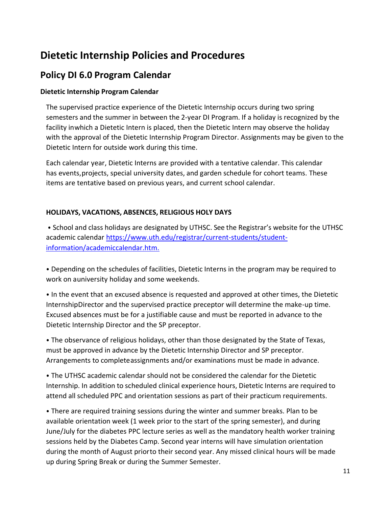### **Policy DI 6.0 Program Calendar**

#### **Dietetic Internship Program Calendar**

The supervised practice experience of the Dietetic Internship occurs during two spring semesters and the summer in between the 2-year DI Program. If a holiday is recognized by the facility inwhich a Dietetic Intern is placed, then the Dietetic Intern may observe the holiday with the approval of the Dietetic Internship Program Director. Assignments may be given to the Dietetic Intern for outside work during this time.

Each calendar year, Dietetic Interns are provided with a tentative calendar. This calendar has events,projects, special university dates, and garden schedule for cohort teams. These items are tentative based on previous years, and current school calendar.

#### **HOLIDAYS, VACATIONS, ABSENCES, RELIGIOUS HOLY DAYS**

• School and class holidays are designated by UTHSC. See the Registrar's website for the UTHSC academic calendar [https://www.uth.edu/registrar/current-students/student](https://www.uth.edu/registrar/current-students/student-information/academiccalendar.htm)[information/academiccalendar.htm.](https://www.uth.edu/registrar/current-students/student-information/academiccalendar.htm)

• Depending on the schedules of facilities, Dietetic Interns in the program may be required to work on auniversity holiday and some weekends.

• In the event that an excused absence is requested and approved at other times, the Dietetic InternshipDirector and the supervised practice preceptor will determine the make-up time. Excused absences must be for a justifiable cause and must be reported in advance to the Dietetic Internship Director and the SP preceptor.

• The observance of religious holidays, other than those designated by the State of Texas, must be approved in advance by the Dietetic Internship Director and SP preceptor. Arrangements to completeassignments and/or examinations must be made in advance.

• The UTHSC academic calendar should not be considered the calendar for the Dietetic Internship. In addition to scheduled clinical experience hours, Dietetic Interns are required to attend all scheduled PPC and orientation sessions as part of their practicum requirements.

• There are required training sessions during the winter and summer breaks. Plan to be available orientation week (1 week prior to the start of the spring semester), and during June/July for the diabetes PPC lecture series as well as the mandatory health worker training sessions held by the Diabetes Camp. Second year interns will have simulation orientation during the month of August priorto their second year. Any missed clinical hours will be made up during Spring Break or during the Summer Semester.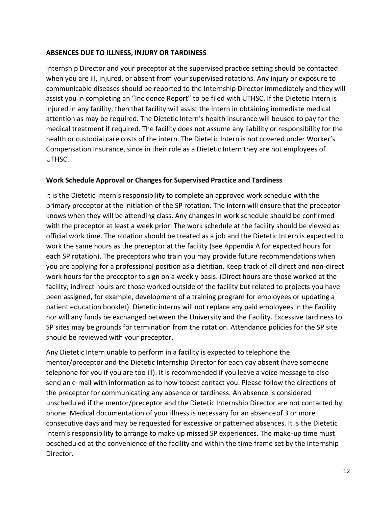#### **ABSENCES DUE TO ILLNESS, INJURY OR TARDINESS**

Internship Director and your preceptor at the supervised practice setting should be contacted when you are ill, injured, or absent from your supervised rotations. Any injury or exposure to communicable diseases should be reported to the Internship Director immediately and they will assist you in completing an "Incidence Report" to be filed with UTHSC. If the Dietetic Intern is injured in any facility, then that facility will assist the intern in obtaining immediate medical attention as may be required. The Dietetic Intern's health insurance will beused to pay for the medical treatment if required. The facility does not assume any liability or responsibility for the health or custodial care costs of the intern. The Dietetic Intern is not covered under Worker's Compensation Insurance, since in their role as a Dietetic Intern they are not employees of UTHSC.

#### **Work Schedule Approval or Changes for Supervised Practice and Tardiness**

It is the Dietetic Intern's responsibility to complete an approved work schedule with the primary preceptor at the initiation of the SP rotation. The intern will ensure that the preceptor knows when they will be attending class. Any changes in work schedule should be confirmed with the preceptor at least a week prior. The work schedule at the facility should be viewed as official work time. The rotation should be treated as a job and the Dietetic Intern is expected to work the same hours as the preceptor at the facility (see Appendix A for expected hours for each SP rotation). The preceptors who train you may provide future recommendations when you are applying for a professional position as a dietitian. Keep track of all direct and non-direct work hours for the preceptor to sign on a weekly basis. (Direct hours are those worked at the facility; indirect hours are those worked outside of the facility but related to projects you have been assigned, for example, development of a training program for employees or updating a patient education booklet). Dietetic interns will not replace any paid employees in the Facility nor will any funds be exchanged between the University and the Facility. Excessive tardiness to SP sites may be grounds for termination from the rotation. Attendance policies for the SP site should be reviewed with your preceptor.

Any Dietetic Intern unable to perform in a facility is expected to telephone the mentor/preceptor and the Dietetic Internship Director for each day absent (have someone telephone for you if you are too ill). It is recommended if you leave a voice message to also send an e-mail with information as to how tobest contact you. Please follow the directions of the preceptor for communicating any absence or tardiness. An absence is considered unscheduled if the mentor/preceptor and the Dietetic Internship Director are not contacted by phone. Medical documentation of your illness is necessary for an absenceof 3 or more consecutive days and may be requested for excessive or patterned absences. It is the Dietetic Intern's responsibility to arrange to make up missed SP experiences. The make-up time must bescheduled at the convenience of the facility and within the time frame set by the Internship Director.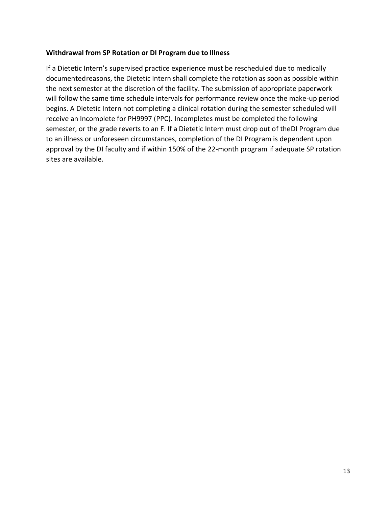#### **Withdrawal from SP Rotation or DI Program due to Illness**

If a Dietetic Intern's supervised practice experience must be rescheduled due to medically documentedreasons, the Dietetic Intern shall complete the rotation as soon as possible within the next semester at the discretion of the facility. The submission of appropriate paperwork will follow the same time schedule intervals for performance review once the make-up period begins. A Dietetic Intern not completing a clinical rotation during the semester scheduled will receive an Incomplete for PH9997 (PPC). Incompletes must be completed the following semester, or the grade reverts to an F. If a Dietetic Intern must drop out of theDI Program due to an illness or unforeseen circumstances, completion of the DI Program is dependent upon approval by the DI faculty and if within 150% of the 22-month program if adequate SP rotation sites are available.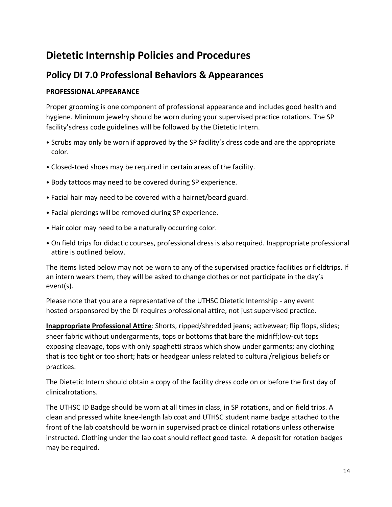### **Policy DI 7.0 Professional Behaviors & Appearances**

#### **PROFESSIONAL APPEARANCE**

Proper grooming is one component of professional appearance and includes good health and hygiene. Minimum jewelry should be worn during your supervised practice rotations. The SP facility'sdress code guidelines will be followed by the Dietetic Intern.

- Scrubs may only be worn if approved by the SP facility's dress code and are the appropriate color.
- Closed-toed shoes may be required in certain areas of the facility.
- Body tattoos may need to be covered during SP experience.
- Facial hair may need to be covered with a hairnet/beard guard.
- Facial piercings will be removed during SP experience.
- Hair color may need to be a naturally occurring color.
- On field trips for didactic courses, professional dress is also required. Inappropriate professional attire is outlined below.

The items listed below may not be worn to any of the supervised practice facilities or fieldtrips. If an intern wears them, they will be asked to change clothes or not participate in the day's event(s).

Please note that you are a representative of the UTHSC Dietetic Internship - any event hosted orsponsored by the DI requires professional attire, not just supervised practice.

**Inappropriate Professional Attire**: Shorts, ripped/shredded jeans; activewear; flip flops, slides; sheer fabric without undergarments, tops or bottoms that bare the midriff;low-cut tops exposing cleavage, tops with only spaghetti straps which show under garments; any clothing that is too tight or too short; hats or headgear unless related to cultural/religious beliefs or practices.

The Dietetic Intern should obtain a copy of the facility dress code on or before the first day of clinicalrotations.

The UTHSC ID Badge should be worn at all times in class, in SP rotations, and on field trips. A clean and pressed white knee-length lab coat and UTHSC student name badge attached to the front of the lab coatshould be worn in supervised practice clinical rotations unless otherwise instructed. Clothing under the lab coat should reflect good taste. A deposit for rotation badges may be required.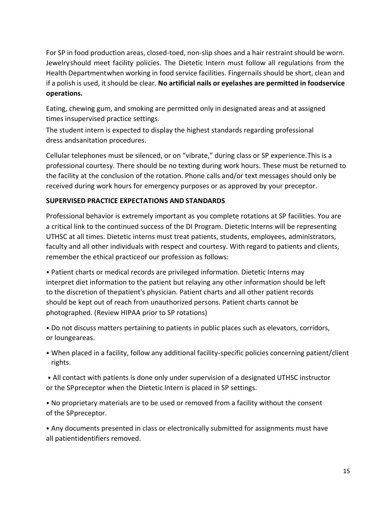For SP in food production areas, closed-toed, non-slip shoes and a hair restraint should be worn. Jewelryshould meet facility policies. The Dietetic Intern must follow all regulations from the Health Departmentwhen working in food service facilities. Fingernails should be short, clean and if a polish is used, it should be clear. **No artificial nails or eyelashes are permitted in foodservice operations.**

Eating, chewing gum, and smoking are permitted only in designated areas and at assigned times insupervised practice settings.

The student intern is expected to display the highest standards regarding professional dress andsanitation procedures.

Cellular telephones must be silenced, or on "vibrate," during class or SP experience.This is a professional courtesy. There should be no texting during work hours. These must be returned to the facility at the conclusion of the rotation. Phone calls and/or text messages should only be received during work hours for emergency purposes or as approved by your preceptor.

#### **SUPERVISED PRACTICE EXPECTATIONS AND STANDARDS**

Professional behavior is extremely important as you complete rotations at SP facilities. You are a critical link to the continued success of the DI Program. Dietetic Interns will be representing UTHSC at all times. Dietetic interns must treat patients, students, employees, administrators, faculty and all other individuals with respect and courtesy. With regard to patients and clients, remember the ethical practiceof our profession as follows:

• Patient charts or medical records are privileged information. Dietetic Interns may interpret diet information to the patient but relaying any other information should be left to the discretion of thepatient's physician. Patient charts and all other patient records should be kept out of reach from unauthorized persons. Patient charts cannot be photographed. (Review HIPAA prior to SP rotations)

• Do not discuss matters pertaining to patients in public places such as elevators, corridors, or loungeareas.

- When placed in a facility, follow any additional facility-specific policies concerning patient/client rights.
- All contact with patients is done only under supervision of a designated UTHSC instructor or the SPpreceptor when the Dietetic Intern is placed in SP settings.

• No proprietary materials are to be used or removed from a facility without the consent of the SPpreceptor.

• Any documents presented in class or electronically submitted for assignments must have all patientidentifiers removed.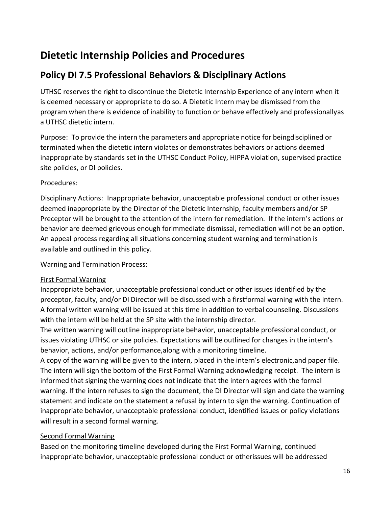### **Policy DI 7.5 Professional Behaviors & Disciplinary Actions**

UTHSC reserves the right to discontinue the Dietetic Internship Experience of any intern when it is deemed necessary or appropriate to do so. A Dietetic Intern may be dismissed from the program when there is evidence of inability to function or behave effectively and professionallyas a UTHSC dietetic intern.

Purpose: To provide the intern the parameters and appropriate notice for beingdisciplined or terminated when the dietetic intern violates or demonstrates behaviors or actions deemed inappropriate by standards set in the UTHSC Conduct Policy, HIPPA violation, supervised practice site policies, or DI policies.

### Procedures:

Disciplinary Actions: Inappropriate behavior, unacceptable professional conduct or other issues deemed inappropriate by the Director of the Dietetic Internship, faculty members and/or SP Preceptor will be brought to the attention of the intern for remediation. If the intern's actions or behavior are deemed grievous enough forimmediate dismissal, remediation will not be an option. An appeal process regarding all situations concerning student warning and termination is available and outlined in this policy.

Warning and Termination Process:

#### First Formal Warning

Inappropriate behavior, unacceptable professional conduct or other issues identified by the preceptor, faculty, and/or DI Director will be discussed with a firstformal warning with the intern. A formal written warning will be issued at this time in addition to verbal counseling. Discussions with the intern will be held at the SP site with the internship director.

The written warning will outline inappropriate behavior, unacceptable professional conduct, or issues violating UTHSC or site policies. Expectations will be outlined for changes in the intern's behavior, actions, and/or performance,along with a monitoring timeline.

A copy of the warning will be given to the intern, placed in the intern's electronic,and paper file. The intern will sign the bottom of the First Formal Warning acknowledging receipt. The intern is informed that signing the warning does not indicate that the intern agrees with the formal warning. If the intern refuses to sign the document, the DI Director will sign and date the warning statement and indicate on the statement a refusal by intern to sign the warning. Continuation of inappropriate behavior, unacceptable professional conduct, identified issues or policy violations will result in a second formal warning.

#### Second Formal Warning

Based on the monitoring timeline developed during the First Formal Warning, continued inappropriate behavior, unacceptable professional conduct or otherissues will be addressed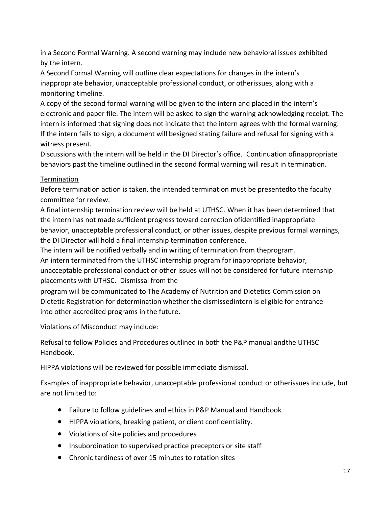in a Second Formal Warning. A second warning may include new behavioral issues exhibited by the intern.

A Second Formal Warning will outline clear expectations for changes in the intern's inappropriate behavior, unacceptable professional conduct, or otherissues, along with a monitoring timeline.

A copy of the second formal warning will be given to the intern and placed in the intern's electronic and paper file. The intern will be asked to sign the warning acknowledging receipt. The intern is informed that signing does not indicate that the intern agrees with the formal warning. If the intern fails to sign, a document will besigned stating failure and refusal for signing with a witness present.

Discussions with the intern will be held in the DI Director's office. Continuation ofinappropriate behaviors past the timeline outlined in the second formal warning will result in termination.

#### **Termination**

Before termination action is taken, the intended termination must be presentedto the faculty committee for review.

A final internship termination review will be held at UTHSC. When it has been determined that the intern has not made sufficient progress toward correction ofidentified inappropriate behavior, unacceptable professional conduct, or other issues, despite previous formal warnings, the DI Director will hold a final internship termination conference.

The intern will be notified verbally and in writing of termination from theprogram.

An intern terminated from the UTHSC internship program for inappropriate behavior,

unacceptable professional conduct or other issues will not be considered for future internship placements with UTHSC. Dismissal from the

program will be communicated to The Academy of Nutrition and Dietetics Commission on Dietetic Registration for determination whether the dismissedintern is eligible for entrance into other accredited programs in the future.

Violations of Misconduct may include:

Refusal to follow Policies and Procedures outlined in both the P&P manual andthe UTHSC Handbook.

HIPPA violations will be reviewed for possible immediate dismissal.

Examples of inappropriate behavior, unacceptable professional conduct or otherissues include, but are not limited to:

- Failure to follow guidelines and ethics in P&P Manual and Handbook
- HIPPA violations, breaking patient, or client confidentiality.
- Violations of site policies and procedures
- Insubordination to supervised practice preceptors or site staff
- Chronic tardiness of over 15 minutes to rotation sites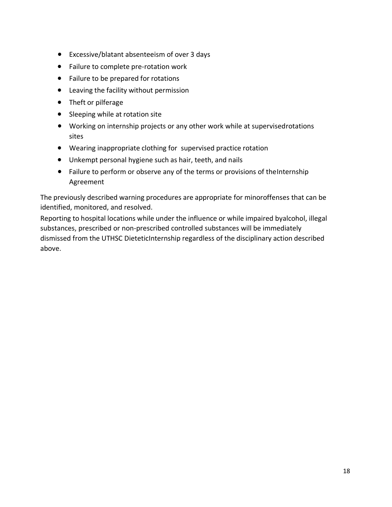- Excessive/blatant absenteeism of over 3 days
- Failure to complete pre-rotation work
- Failure to be prepared for rotations
- Leaving the facility without permission
- Theft or pilferage
- Sleeping while at rotation site
- Working on internship projects or any other work while at supervisedrotations sites
- Wearing inappropriate clothing for supervised practice rotation
- Unkempt personal hygiene such as hair, teeth, and nails
- Failure to perform or observe any of the terms or provisions of theInternship Agreement

The previously described warning procedures are appropriate for minoroffenses that can be identified, monitored, and resolved.

Reporting to hospital locations while under the influence or while impaired byalcohol, illegal substances, prescribed or non-prescribed controlled substances will be immediately dismissed from the UTHSC DieteticInternship regardless of the disciplinary action described above.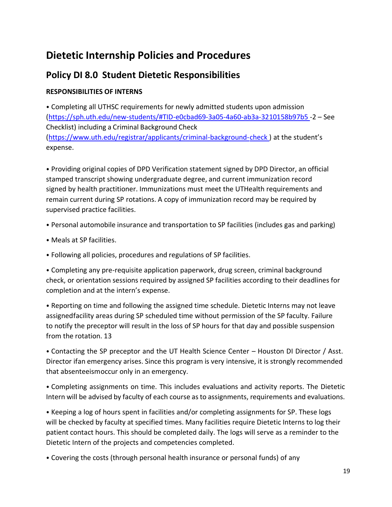### **Policy DI 8.0 Student Dietetic Responsibilities**

### **RESPONSIBILITIES OF INTERNS**

• Completing all UTHSC requirements for newly admitted students upon admission [\(https://sph.uth.edu/new-students/#TID-e0cbad69-3a05-4a60-ab3a-3210158b97b5](https://sph.uth.edu/new-students/#TID-e0cbad69-3a05-4a60-ab3a-3210158b97b5) -2 – See Checklist) including a Criminal Background Check [\(https://www.uth.edu/registrar/applicants/criminal-background-check](https://www.uth.edu/registrar/applicants/criminal-background-check) ) at the student's expense.

• Providing original copies of DPD Verification statement signed by DPD Director, an official stamped transcript showing undergraduate degree, and current immunization record signed by health practitioner. Immunizations must meet the UTHealth requirements and remain current during SP rotations. A copy of immunization record may be required by supervised practice facilities.

- Personal automobile insurance and transportation to SP facilities (includes gas and parking)
- Meals at SP facilities.
- Following all policies, procedures and regulations of SP facilities.

• Completing any pre-requisite application paperwork, drug screen, criminal background check, or orientation sessions required by assigned SP facilities according to their deadlines for completion and at the intern's expense.

• Reporting on time and following the assigned time schedule. Dietetic Interns may not leave assignedfacility areas during SP scheduled time without permission of the SP faculty. Failure to notify the preceptor will result in the loss of SP hours for that day and possible suspension from the rotation. 13

• Contacting the SP preceptor and the UT Health Science Center – Houston DI Director / Asst. Director ifan emergency arises. Since this program is very intensive, it is strongly recommended that absenteeismoccur only in an emergency.

• Completing assignments on time. This includes evaluations and activity reports. The Dietetic Intern will be advised by faculty of each course asto assignments, requirements and evaluations.

• Keeping a log of hours spent in facilities and/or completing assignments for SP. These logs will be checked by faculty at specified times. Many facilities require Dietetic Interns to log their patient contact hours. This should be completed daily. The logs will serve as a reminder to the Dietetic Intern of the projects and competencies completed.

• Covering the costs (through personal health insurance or personal funds) of any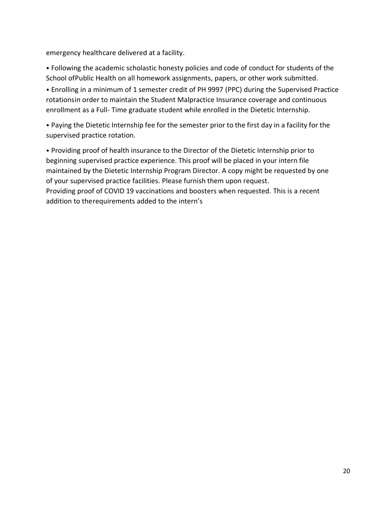emergency healthcare delivered at a facility.

• Following the academic scholastic honesty policies and code of conduct for students of the School ofPublic Health on all homework assignments, papers, or other work submitted.

• Enrolling in a minimum of 1 semester credit of PH 9997 (PPC) during the Supervised Practice rotationsin order to maintain the Student Malpractice Insurance coverage and continuous enrollment as a Full- Time graduate student while enrolled in the Dietetic Internship.

• Paying the Dietetic Internship fee for the semester prior to the first day in a facility for the supervised practice rotation.

• Providing proof of health insurance to the Director of the Dietetic Internship prior to beginning supervised practice experience. This proof will be placed in your intern file maintained by the Dietetic Internship Program Director. A copy might be requested by one of your supervised practice facilities. Please furnish them upon request. Providing proof of COVID 19 vaccinations and boosters when requested. This is a recent addition to therequirements added to the intern's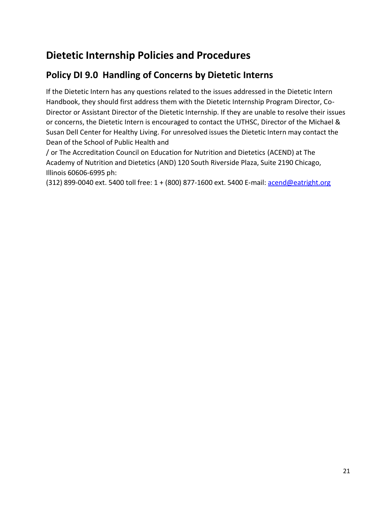### **Policy DI 9.0 Handling of Concerns by Dietetic Interns**

If the Dietetic Intern has any questions related to the issues addressed in the Dietetic Intern Handbook, they should first address them with the Dietetic Internship Program Director, Co-Director or Assistant Director of the Dietetic Internship. If they are unable to resolve their issues or concerns, the Dietetic Intern is encouraged to contact the UTHSC, Director of the Michael & Susan Dell Center for Healthy Living. For unresolved issues the Dietetic Intern may contact the Dean of the School of Public Health and

/ or The Accreditation Council on Education for Nutrition and Dietetics (ACEND) at The Academy of Nutrition and Dietetics (AND) 120 South Riverside Plaza, Suite 2190 Chicago, Illinois 60606-6995 ph:

(312) 899-0040 ext. 5400 toll free: 1 + (800) 877-1600 ext. 5400 E-mail: [acend@eatright.org](mailto:acend@eatright.org)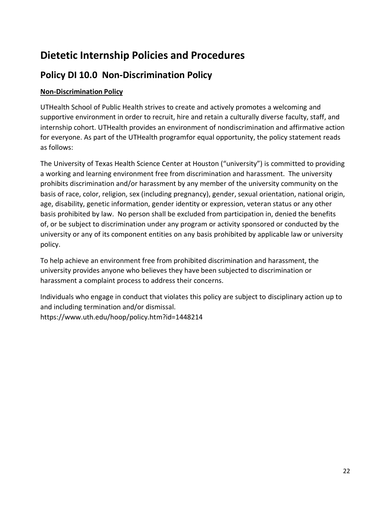### **Policy DI 10.0 Non-Discrimination Policy**

### **Non-Discrimination Policy**

UTHealth School of Public Health strives to create and actively promotes a welcoming and supportive environment in order to recruit, hire and retain a culturally diverse faculty, staff, and internship cohort. UTHealth provides an environment of nondiscrimination and affirmative action for everyone. As part of the UTHealth programfor equal opportunity, the policy statement reads as follows:

The University of Texas Health Science Center at Houston ("university") is committed to providing a working and learning environment free from discrimination and harassment. The university prohibits discrimination and/or harassment by any member of the university community on the basis of race, color, religion, sex (including pregnancy), gender, sexual orientation, national origin, age, disability, genetic information, gender identity or expression, veteran status or any other basis prohibited by law. No person shall be excluded from participation in, denied the benefits of, or be subject to discrimination under any program or activity sponsored or conducted by the university or any of its component entities on any basis prohibited by applicable law or university policy.

To help achieve an environment free from prohibited discrimination and harassment, the university provides anyone who believes they have been subjected to discrimination or harassment a complaint process to address their concerns.

Individuals who engage in conduct that violates this policy are subject to disciplinary action up to and including termination and/or dismissal. https://www.uth.edu/hoop/policy.htm?id=1448214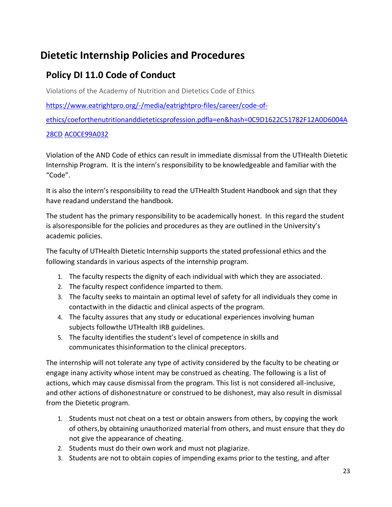### **Policy DI 11.0 Code of Conduct**

Violations of the Academy of Nutrition and Dietetics Code of Ethics

[https://www.eatrightpro.org/-/media/eatrightpro-files/career/code-of-](https://www.eatrightpro.org/-/media/eatrightpro-files/career/code-of-ethics/coeforthenutritionanddieteticsprofession.pdf?la=en&hash=0C9D1622C51782F12A0D6004A28CDAC0CE99A032)

[ethics/coeforthenutritionanddieteticsprofession.pdfla=en&hash=0C9D1622C51782F12A0D6004A](https://www.eatrightpro.org/-/media/eatrightpro-files/career/code-of-ethics/coeforthenutritionanddieteticsprofession.pdf?la=en&hash=0C9D1622C51782F12A0D6004A28CDAC0CE99A032)

#### [28CD](https://www.eatrightpro.org/-/media/eatrightpro-files/career/code-of-ethics/coeforthenutritionanddieteticsprofession.pdf?la=en&hash=0C9D1622C51782F12A0D6004A28CDAC0CE99A032) [AC0CE99A032](https://www.eatrightpro.org/-/media/eatrightpro-files/career/code-of-ethics/coeforthenutritionanddieteticsprofession.pdf?la=en&hash=0C9D1622C51782F12A0D6004A28CDAC0CE99A032)

Violation of the AND Code of ethics can result in immediate dismissal from the UTHealth Dietetic Internship Program. It is the intern's responsibility to be knowledgeable and familiar with the "Code".

It is also the intern's responsibility to read the UTHealth Student Handbook and sign that they have readand understand the handbook.

The student has the primary responsibility to be academically honest. In this regard the student is alsoresponsible for the policies and procedures as they are outlined in the University's academic policies.

The faculty of UTHealth Dietetic Internship supports the stated professional ethics and the following standards in various aspects of the internship program.

- 1. The faculty respects the dignity of each individual with which they are associated.
- 2. The faculty respect confidence imparted to them.
- 3. The faculty seeks to maintain an optimal level of safety for all individuals they come in contactwith in the didactic and clinical aspects of the program.
- 4. The faculty assures that any study or educational experiences involving human subjects followthe UTHealth IRB guidelines.
- 5. The faculty identifies the student's level of competence in skills and communicates thisinformation to the clinical preceptors.

The internship will not tolerate any type of activity considered by the faculty to be cheating or engage inany activity whose intent may be construed as cheating. The following is a list of actions, which may cause dismissal from the program. This list is not considered all-inclusive, and other actions of dishonestnature or construed to be dishonest, may also result in dismissal from the Dietetic program.

- 1. Students must not cheat on a test or obtain answers from others, by copying the work of others,by obtaining unauthorized material from others, and must ensure that they do not give the appearance of cheating.
- 2. Students must do their own work and must not plagiarize.
- 3. Students are not to obtain copies of impending exams prior to the testing, and after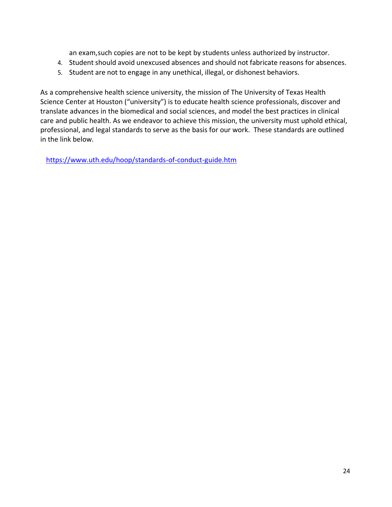an exam,such copies are not to be kept by students unless authorized by instructor.

- 4. Student should avoid unexcused absences and should not fabricate reasons for absences.
- 5. Student are not to engage in any unethical, illegal, or dishonest behaviors.

As a comprehensive health science university, the mission of The University of Texas Health Science Center at Houston ("university") is to educate health science professionals, discover and translate advances in the biomedical and social sciences, and model the best practices in clinical care and public health. As we endeavor to achieve this mission, the university must uphold ethical, professional, and legal standards to serve as the basis for our work. These standards are outlined in the link below.

<https://www.uth.edu/hoop/standards-of-conduct-guide.htm>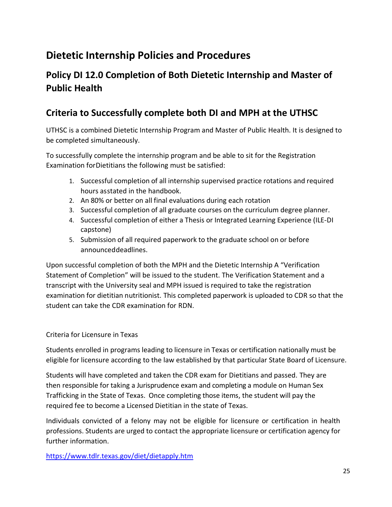### **Policy DI 12.0 Completion of Both Dietetic Internship and Master of Public Health**

### **Criteria to Successfully complete both DI and MPH at the UTHSC**

UTHSC is a combined Dietetic Internship Program and Master of Public Health. It is designed to be completed simultaneously.

To successfully complete the internship program and be able to sit for the Registration Examination forDietitians the following must be satisfied:

- 1. Successful completion of all internship supervised practice rotations and required hours asstated in the handbook.
- 2. An 80% or better on all final evaluations during each rotation
- 3. Successful completion of all graduate courses on the curriculum degree planner.
- 4. Successful completion of either a Thesis or Integrated Learning Experience (ILE-DI capstone)
- 5. Submission of all required paperwork to the graduate school on or before announceddeadlines.

Upon successful completion of both the MPH and the Dietetic Internship A "Verification Statement of Completion" will be issued to the student. The Verification Statement and a transcript with the University seal and MPH issued isrequired to take the registration examination for dietitian nutritionist. This completed paperwork is uploaded to CDR so that the student can take the CDR examination for RDN.

#### Criteria for Licensure in Texas

Students enrolled in programs leading to licensure in Texas or certification nationally must be eligible for licensure according to the law established by that particular State Board of Licensure.

Students will have completed and taken the CDR exam for Dietitians and passed. They are then responsible for taking a Jurisprudence exam and completing a module on Human Sex Trafficking in the State of Texas. Once completing those items, the student will pay the required fee to become a Licensed Dietitian in the state of Texas.

Individuals convicted of a felony may not be eligible for licensure or certification in health professions. Students are urged to contact the appropriate licensure or certification agency for further information.

<https://www.tdlr.texas.gov/diet/dietapply.htm>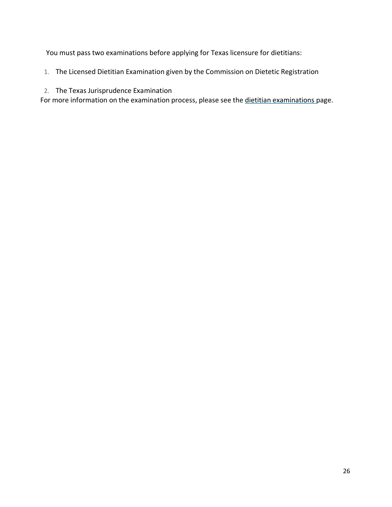You must pass two examinations before applying for Texas licensure for dietitians:

1. The Licensed Dietitian Examination given by the Commission on Dietetic Registration

#### 2. The Texas Jurisprudence Examination

For more information on the examination process, please see the dietitian [examinations](https://www.tdlr.texas.gov/diet/dietexam.htm) page.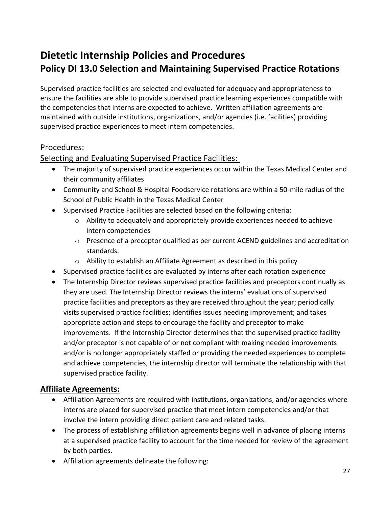# **Dietetic Internship Policies and Procedures Policy DI 13.0 Selection and Maintaining Supervised Practice Rotations**

Supervised practice facilities are selected and evaluated for adequacy and appropriateness to ensure the facilities are able to provide supervised practice learning experiences compatible with the competencies that interns are expected to achieve. Written affiliation agreements are maintained with outside institutions, organizations, and/or agencies (i.e. facilities) providing supervised practice experiences to meet intern competencies.

### Procedures:

Selecting and Evaluating Supervised Practice Facilities:

- The majority of supervised practice experiences occur within the Texas Medical Center and their community affiliates
- Community and School & Hospital Foodservice rotations are within a 50-mile radius of the School of Public Health in the Texas Medical Center
- Supervised Practice Facilities are selected based on the following criteria:
	- $\circ$  Ability to adequately and appropriately provide experiences needed to achieve intern competencies
	- o Presence of a preceptor qualified as per current ACEND guidelines and accreditation standards.
	- o Ability to establish an Affiliate Agreement as described in this policy
- Supervised practice facilities are evaluated by interns after each rotation experience
- The Internship Director reviews supervised practice facilities and preceptors continually as they are used. The Internship Director reviews the interns' evaluations of supervised practice facilities and preceptors as they are received throughout the year; periodically visits supervised practice facilities; identifies issues needing improvement; and takes appropriate action and steps to encourage the facility and preceptor to make improvements. If the Internship Director determines that the supervised practice facility and/or preceptor is not capable of or not compliant with making needed improvements and/or is no longer appropriately staffed or providing the needed experiences to complete and achieve competencies, the internship director will terminate the relationship with that supervised practice facility.

### **Affiliate Agreements:**

- Affiliation Agreements are required with institutions, organizations, and/or agencies where interns are placed for supervised practice that meet intern competencies and/or that involve the intern providing direct patient care and related tasks.
- The process of establishing affiliation agreements begins well in advance of placing interns at a supervised practice facility to account for the time needed for review of the agreement by both parties.
- Affiliation agreements delineate the following: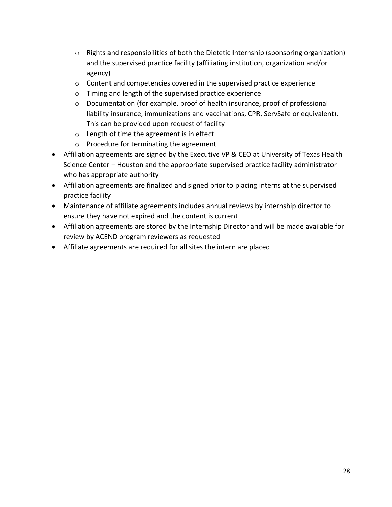- o Rights and responsibilities of both the Dietetic Internship (sponsoring organization) and the supervised practice facility (affiliating institution, organization and/or agency)
- o Content and competencies covered in the supervised practice experience
- o Timing and length of the supervised practice experience
- o Documentation (for example, proof of health insurance, proof of professional liability insurance, immunizations and vaccinations, CPR, ServSafe or equivalent). This can be provided upon request of facility
- o Length of time the agreement is in effect
- o Procedure for terminating the agreement
- Affiliation agreements are signed by the Executive VP & CEO at University of Texas Health Science Center – Houston and the appropriate supervised practice facility administrator who has appropriate authority
- Affiliation agreements are finalized and signed prior to placing interns at the supervised practice facility
- Maintenance of affiliate agreements includes annual reviews by internship director to ensure they have not expired and the content is current
- Affiliation agreements are stored by the Internship Director and will be made available for review by ACEND program reviewers as requested
- Affiliate agreements are required for all sites the intern are placed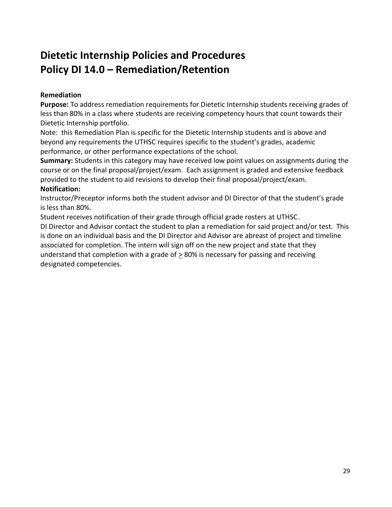# **Dietetic Internship Policies and Procedures Policy DI 14.0 – Remediation/Retention**

#### **Remediation**

**Purpose:** To address remediation requirements for Dietetic Internship students receiving grades of less than 80% in a class where students are receiving competency hours that count towards their Dietetic Internship portfolio.

Note: this Remediation Plan is specific for the Dietetic Internship students and is above and beyond any requirements the UTHSC requires specific to the student's grades, academic performance, or other performance expectations of the school.

**Summary:** Students in this category may have received low point values on assignments during the course or on the final proposal/project/exam. Each assignment is graded and extensive feedback provided to the student to aid revisions to develop their final proposal/project/exam. **Notification:**

Instructor/Preceptor informs both the student advisor and DI Director of that the student's grade is less than 80%.

Student receives notification of their grade through official grade rosters at UTHSC.

DI Director and Advisor contact the student to plan a remediation for said project and/or test. This is done on an individual basis and the DI Director and Advisor are abreast of project and timeline associated for completion. The intern will sign off on the new project and state that they understand that completion with a grade of > 80% is necessary for passing and receiving designated competencies.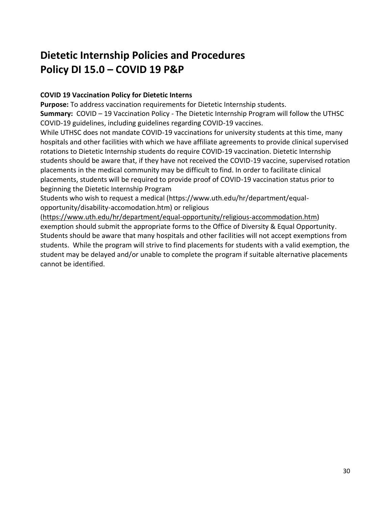# **Dietetic Internship Policies and Procedures Policy DI 15.0 – COVID 19 P&P**

### **COVID 19 Vaccination Policy for Dietetic Interns**

**Purpose:** To address vaccination requirements for Dietetic Internship students. **Summary:** COVID – 19 Vaccination Policy - The Dietetic Internship Program will follow the UTHSC COVID-19 guidelines, including guidelines regarding COVID-19 vaccines.

While UTHSC does not mandate COVID-19 vaccinations for university students at this time, many hospitals and other facilities with which we have affiliate agreements to provide clinical supervised rotations to Dietetic Internship students do require COVID-19 vaccination. Dietetic Internship students should be aware that, if they have not received the COVID-19 vaccine, supervised rotation placements in the medical community may be difficult to find. In order to facilitate clinical placements, students will be required to provide proof of COVID-19 vaccination status prior to beginning the Dietetic Internship Program

Students who wish to request a medical (https://www.uth.edu/hr/department/equalopportunity/disability-accomodation.htm) or religious

[\(https://www.uth.edu/hr/department/equal-opportunity/religious-accommodation.htm\)](https://www.uth.edu/hr/department/equal-opportunity/religious-accommodation.htm) exemption should submit the appropriate forms to the Office of Diversity & Equal Opportunity. Students should be aware that many hospitals and other facilities will not accept exemptions from students. While the program will strive to find placements for students with a valid exemption, the student may be delayed and/or unable to complete the program if suitable alternative placements cannot be identified.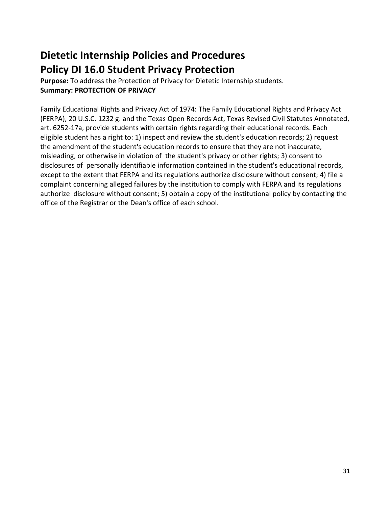# **Dietetic Internship Policies and Procedures Policy DI 16.0 Student Privacy Protection**

**Purpose:** To address the Protection of Privacy for Dietetic Internship students. **Summary: PROTECTION OF PRIVACY**

Family Educational Rights and Privacy Act of 1974: The Family Educational Rights and Privacy Act (FERPA), 20 U.S.C. 1232 g. and the Texas Open Records Act, Texas Revised Civil Statutes Annotated, art. 6252-17a, provide students with certain rights regarding their educational records. Each eligible student has a right to: 1) inspect and review the student's education records; 2) request the amendment of the student's education records to ensure that they are not inaccurate, misleading, or otherwise in violation of the student's privacy or other rights; 3) consent to disclosures of personally identifiable information contained in the student's educational records, except to the extent that FERPA and its regulations authorize disclosure without consent; 4) file a complaint concerning alleged failures by the institution to comply with FERPA and its regulations authorize disclosure without consent; 5) obtain a copy of the institutional policy by contacting the office of the Registrar or the Dean's office of each school.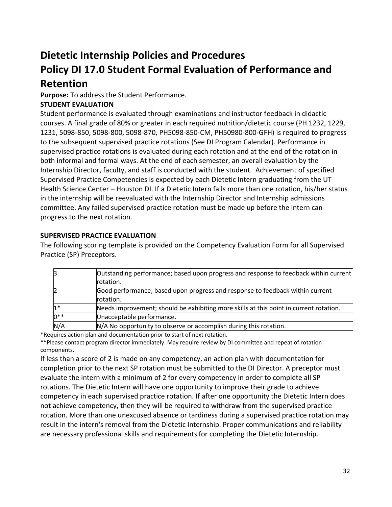# **Dietetic Internship Policies and Procedures Policy DI 17.0 Student Formal Evaluation of Performance and**

# **Retention**

**Purpose:** To address the Student Performance.

### **STUDENT EVALUATION**

Student performance is evaluated through examinations and instructor feedback in didactic courses. A final grade of 80% or greater in each required nutrition/dietetic course (PH 1232, 1229, 1231, 5098-850, 5098-800, 5098-870, PH5098-850-CM, PH50980-800-GFH) is required to progress to the subsequent supervised practice rotations (See DI Program Calendar). Performance in supervised practice rotations is evaluated during each rotation and at the end of the rotation in both informal and formal ways. At the end of each semester, an overall evaluation by the Internship Director, faculty, and staff is conducted with the student. Achievement of specified Supervised Practice Competencies is expected by each Dietetic Intern graduating from the UT Health Science Center – Houston DI. If a Dietetic Intern fails more than one rotation, his/her status in the internship will be reevaluated with the Internship Director and Internship admissions committee. Any failed supervised practice rotation must be made up before the intern can progress to the next rotation.

### **SUPERVISED PRACTICE EVALUATION**

The following scoring template is provided on the Competency Evaluation Form for all Supervised Practice (SP) Preceptors.

| З      | Outstanding performance; based upon progress and response to feedback within current<br>rotation. |
|--------|---------------------------------------------------------------------------------------------------|
| 2      | Good performance; based upon progress and response to feedback within current<br>rotation.        |
| $1*$   | Needs improvement; should be exhibiting more skills at this point in current rotation.            |
| $0***$ | Unacceptable performance.                                                                         |
| N/A    | N/A No opportunity to observe or accomplish during this rotation.                                 |

\*Requires action plan and documentation prior to start of next rotation.

\*\*Please contact program director immediately. May require review by DI committee and repeat of rotation components.

If less than a score of 2 is made on any competency, an action plan with documentation for completion prior to the next SP rotation must be submitted to the DI Director. A preceptor must evaluate the intern with a minimum of 2 for every competency in order to complete all SP rotations. The Dietetic Intern will have one opportunity to improve their grade to achieve competency in each supervised practice rotation. If after one opportunity the Dietetic Intern does not achieve competency, then they will be required to withdraw from the supervised practice rotation. More than one unexcused absence or tardiness during a supervised practice rotation may result in the intern's removal from the Dietetic Internship. Proper communications and reliability are necessary professional skills and requirements for completing the Dietetic Internship.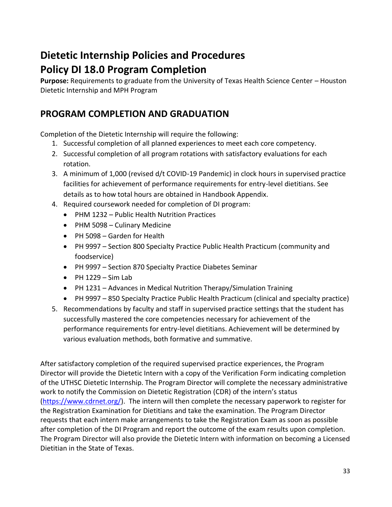# **Dietetic Internship Policies and Procedures Policy DI 18.0 Program Completion**

**Purpose:** Requirements to graduate from the University of Texas Health Science Center – Houston Dietetic Internship and MPH Program

### **PROGRAM COMPLETION AND GRADUATION**

Completion of the Dietetic Internship will require the following:

- 1. Successful completion of all planned experiences to meet each core competency.
- 2. Successful completion of all program rotations with satisfactory evaluations for each rotation.
- 3. A minimum of 1,000 (revised d/t COVID-19 Pandemic) in clock hours in supervised practice facilities for achievement of performance requirements for entry-level dietitians. See details as to how total hours are obtained in Handbook Appendix.
- 4. Required coursework needed for completion of DI program:
	- PHM 1232 Public Health Nutrition Practices
	- PHM 5098 Culinary Medicine
	- PH 5098 Garden for Health
	- PH 9997 Section 800 Specialty Practice Public Health Practicum (community and foodservice)
	- PH 9997 Section 870 Specialty Practice Diabetes Seminar
	- $\bullet$  PH 1229 Sim Lab
	- PH 1231 Advances in Medical Nutrition Therapy/Simulation Training
	- PH 9997 850 Specialty Practice Public Health Practicum (clinical and specialty practice)
- 5. Recommendations by faculty and staff in supervised practice settings that the student has successfully mastered the core competencies necessary for achievement of the performance requirements for entry-level dietitians. Achievement will be determined by various evaluation methods, both formative and summative.

After satisfactory completion of the required supervised practice experiences, the Program Director will provide the Dietetic Intern with a copy of the Verification Form indicating completion of the UTHSC Dietetic Internship. The Program Director will complete the necessary administrative work to notify the Commission on Dietetic Registration (CDR) of the intern's status [\(https://www.cdrnet.org/\)](https://www.cdrnet.org/). The intern will then complete the necessary paperwork to register for the Registration Examination for Dietitians and take the examination. The Program Director requests that each intern make arrangements to take the Registration Exam as soon as possible after completion of the DI Program and report the outcome of the exam results upon completion. The Program Director will also provide the Dietetic Intern with information on becoming a Licensed Dietitian in the State of Texas.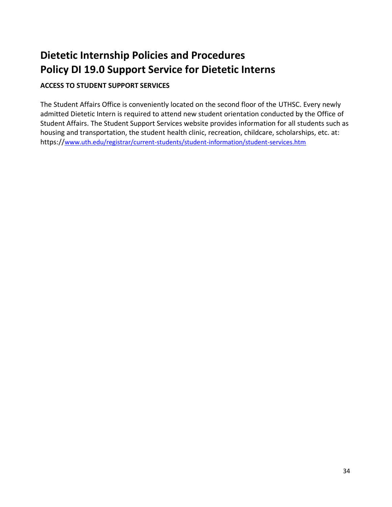# **Dietetic Internship Policies and Procedures Policy DI 19.0 Support Service for Dietetic Interns**

### **ACCESS TO STUDENT SUPPORT SERVICES**

The Student Affairs Office is conveniently located on the second floor of the UTHSC. Every newly admitted Dietetic Intern is required to attend new student orientation conducted by the Office of Student Affairs. The Student Support Services website provides information for all students such as housing and transportation, the student health clinic, recreation, childcare, scholarships, etc. at: https://[www.uth.edu/registrar/current-students/student-information/student-services.htm](http://www.uth.edu/registrar/current-students/student-information/student-services.htm)